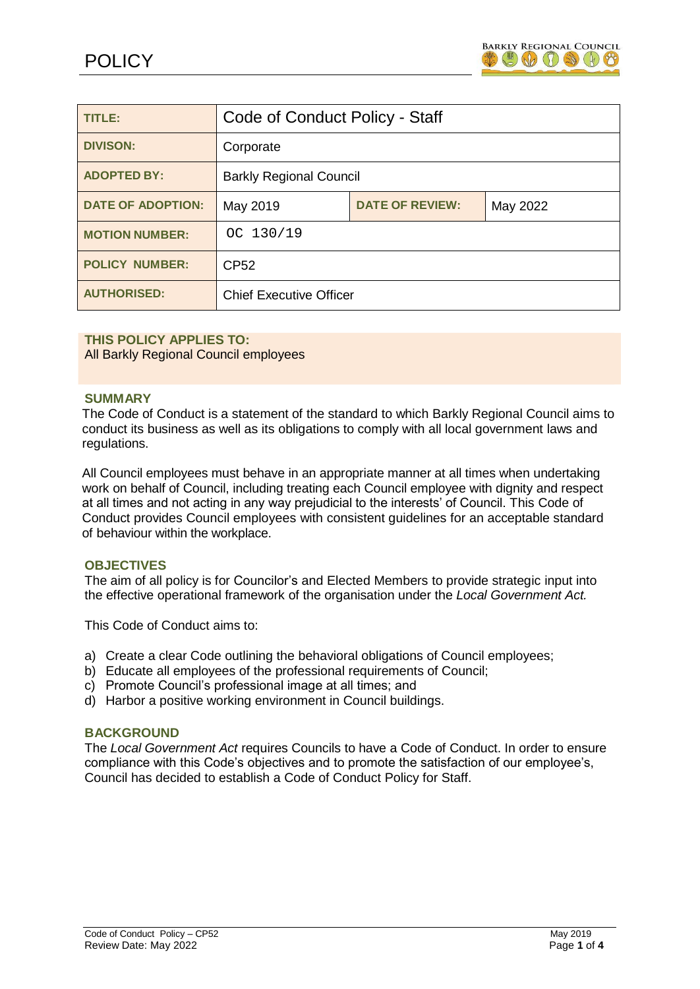

| TITLE:                   | Code of Conduct Policy - Staff |                        |          |
|--------------------------|--------------------------------|------------------------|----------|
| <b>DIVISON:</b>          | Corporate                      |                        |          |
| <b>ADOPTED BY:</b>       | <b>Barkly Regional Council</b> |                        |          |
| <b>DATE OF ADOPTION:</b> | May 2019                       | <b>DATE OF REVIEW:</b> | May 2022 |
| <b>MOTION NUMBER:</b>    | OC 130/19                      |                        |          |
| <b>POLICY NUMBER:</b>    | CP <sub>52</sub>               |                        |          |
| <b>AUTHORISED:</b>       | <b>Chief Executive Officer</b> |                        |          |

#### **THIS POLICY APPLIES TO:**

All Barkly Regional Council employees

#### **SUMMARY**

The Code of Conduct is a statement of the standard to which Barkly Regional Council aims to conduct its business as well as its obligations to comply with all local government laws and regulations.

All Council employees must behave in an appropriate manner at all times when undertaking work on behalf of Council, including treating each Council employee with dignity and respect at all times and not acting in any way prejudicial to the interests' of Council. This Code of Conduct provides Council employees with consistent guidelines for an acceptable standard of behaviour within the workplace.

#### **OBJECTIVES**

The aim of all policy is for Councilor's and Elected Members to provide strategic input into the effective operational framework of the organisation under the *Local Government Act.* 

This Code of Conduct aims to:

- a) Create a clear Code outlining the behavioral obligations of Council employees;
- b) Educate all employees of the professional requirements of Council;
- c) Promote Council's professional image at all times; and
- d) Harbor a positive working environment in Council buildings.

#### **BACKGROUND**

The *Local Government Act* requires Councils to have a Code of Conduct. In order to ensure compliance with this Code's objectives and to promote the satisfaction of our employee's, Council has decided to establish a Code of Conduct Policy for Staff.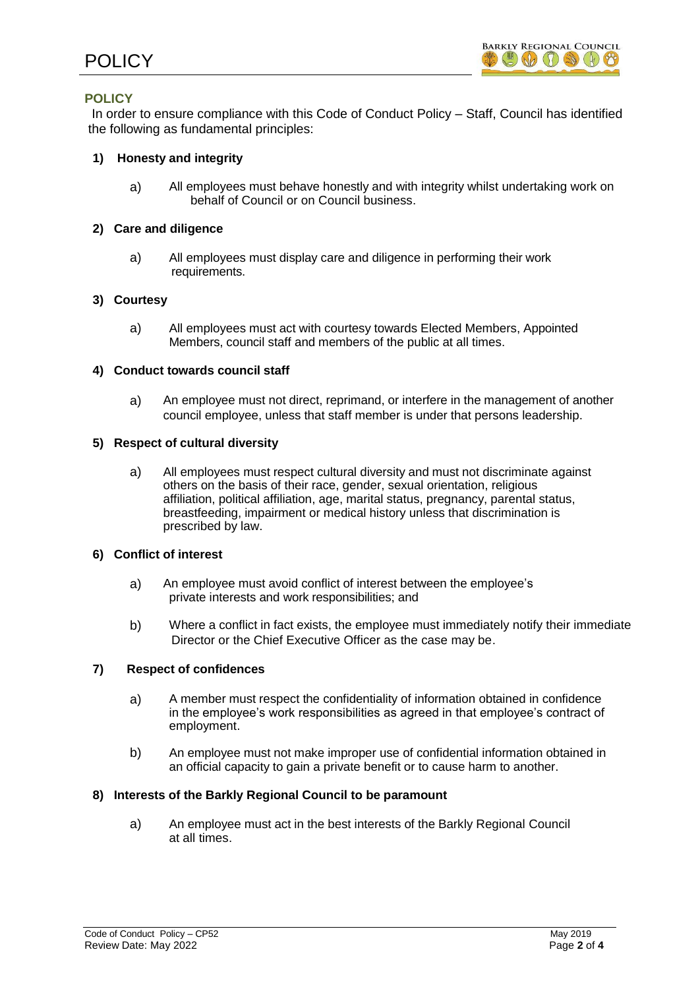



# **POLICY**

In order to ensure compliance with this Code of Conduct Policy – Staff, Council has identified the following as fundamental principles:

## **1) Honesty and integrity**

a) All employees must behave honestly and with integrity whilst undertaking work on behalf of Council or on Council business.

#### **2) Care and diligence**

a) All employees must display care and diligence in performing their work requirements.

## **3) Courtesy**

a) All employees must act with courtesy towards Elected Members, Appointed Members, council staff and members of the public at all times.

#### **4) Conduct towards council staff**

a) An employee must not direct, reprimand, or interfere in the management of another council employee, unless that staff member is under that persons leadership.

## **5) Respect of cultural diversity**

a) All employees must respect cultural diversity and must not discriminate against others on the basis of their race, gender, sexual orientation, religious affiliation, political affiliation, age, marital status, pregnancy, parental status, breastfeeding, impairment or medical history unless that discrimination is prescribed by law.

#### **6) Conflict of interest**

- a) An employee must avoid conflict of interest between the employee's private interests and work responsibilities; and
- b) Where a conflict in fact exists, the employee must immediately notify their immediate Director or the Chief Executive Officer as the case may be.

#### **7) Respect of confidences**

- a) A member must respect the confidentiality of information obtained in confidence in the employee's work responsibilities as agreed in that employee's contract of employment.
- b) An employee must not make improper use of confidential information obtained in an official capacity to gain a private benefit or to cause harm to another.

#### **8) Interests of the Barkly Regional Council to be paramount**

a) An employee must act in the best interests of the Barkly Regional Council at all times.